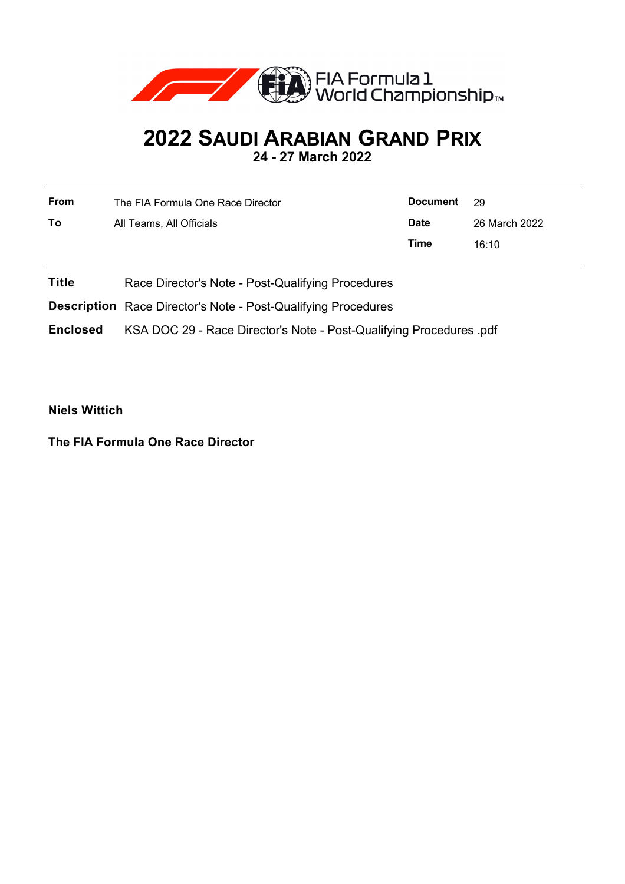

## **2022 SAUDI ARABIAN GRAND PRIX 24 - 27 March 2022**

**From** The FIA Formula One Race Director **To** All Teams, All Officials **Document** 29 **Date** 26 March 2022 **Time** 16:10

**Title** Race Director's Note - Post-Qualifying Procedures

**Description** Race Director's Note - Post-Qualifying Procedures

**Enclosed** KSA DOC 29 - Race Director's Note - Post-Qualifying Procedures .pdf

**Niels Wittich**

**The FIA Formula One Race Director**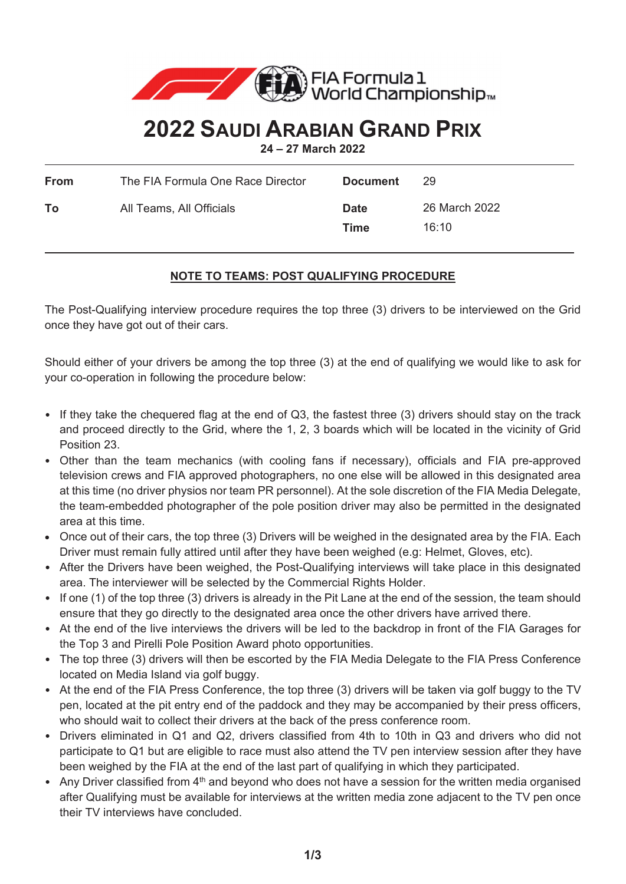

## **2022 SAUDI ARABIAN GRAND PRIX**

**24 – 27 March 2022**

| From | The FIA Formula One Race Director | <b>Document</b>     | 29                     |
|------|-----------------------------------|---------------------|------------------------|
| То   | All Teams, All Officials          | <b>Date</b><br>Time | 26 March 2022<br>16:10 |

## **NOTE TO TEAMS: POST QUALIFYING PROCEDURE**

The Post-Qualifying interview procedure requires the top three (3) drivers to be interviewed on the Grid once they have got out of their cars.

Should either of your drivers be among the top three (3) at the end of qualifying we would like to ask for your co-operation in following the procedure below:

- If they take the chequered flag at the end of Q3, the fastest three (3) drivers should stay on the track and proceed directly to the Grid, where the 1, 2, 3 boards which will be located in the vicinity of Grid Position 23.
- Other than the team mechanics (with cooling fans if necessary), officials and FIA pre-approved television crews and FIA approved photographers, no one else will be allowed in this designated area at this time (no driver physios nor team PR personnel). At the sole discretion of the FIA Media Delegate, the team-embedded photographer of the pole position driver may also be permitted in the designated area at this time.
- Once out of their cars, the top three (3) Drivers will be weighed in the designated area by the FIA. Each Driver must remain fully attired until after they have been weighed (e.g: Helmet, Gloves, etc).
- After the Drivers have been weighed, the Post-Qualifying interviews will take place in this designated area. The interviewer will be selected by the Commercial Rights Holder.
- If one (1) of the top three (3) drivers is already in the Pit Lane at the end of the session, the team should ensure that they go directly to the designated area once the other drivers have arrived there.
- At the end of the live interviews the drivers will be led to the backdrop in front of the FIA Garages for the Top 3 and Pirelli Pole Position Award photo opportunities.
- The top three (3) drivers will then be escorted by the FIA Media Delegate to the FIA Press Conference located on Media Island via golf buggy.
- At the end of the FIA Press Conference, the top three (3) drivers will be taken via golf buggy to the TV pen, located at the pit entry end of the paddock and they may be accompanied by their press officers, who should wait to collect their drivers at the back of the press conference room.
- Drivers eliminated in Q1 and Q2, drivers classified from 4th to 10th in Q3 and drivers who did not participate to Q1 but are eligible to race must also attend the TV pen interview session after they have been weighed by the FIA at the end of the last part of qualifying in which they participated.
- Any Driver classified from 4<sup>th</sup> and beyond who does not have a session for the written media organised after Qualifying must be available for interviews at the written media zone adjacent to the TV pen once their TV interviews have concluded.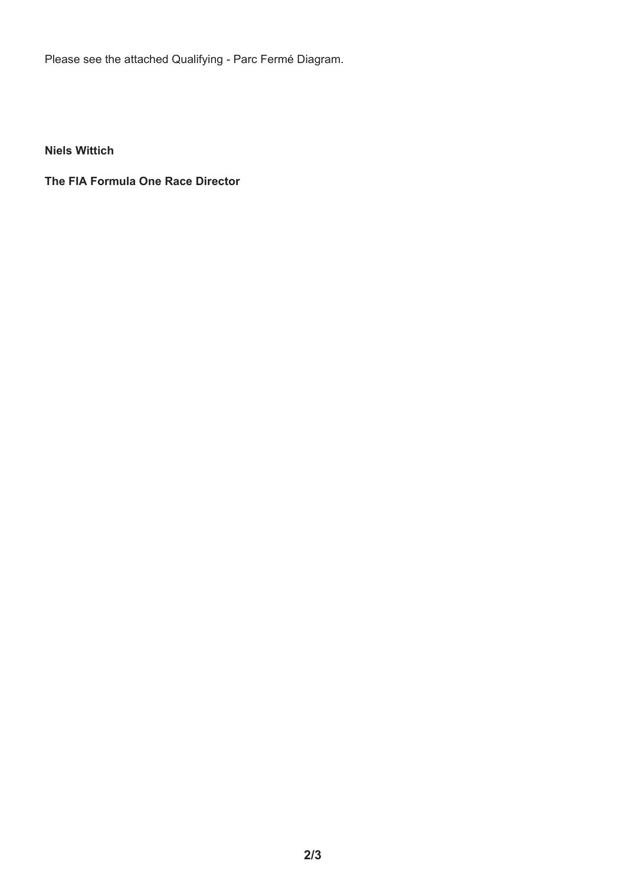Please see the attached Qualifying - Parc Fermé Diagram.

**Niels Wittich** 

**The FIA Formula One Race Director**